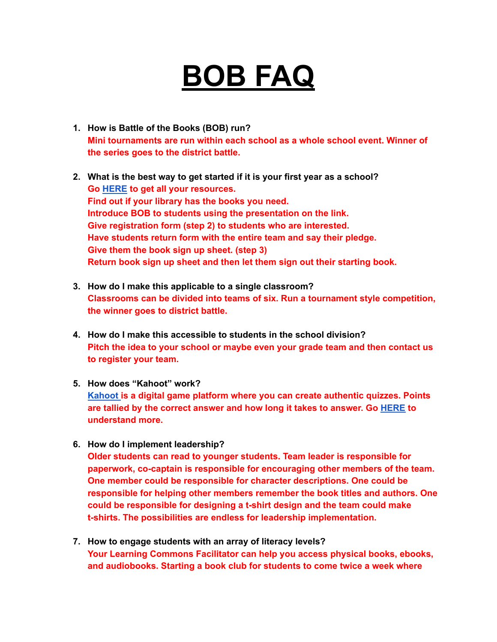## **BOB FAQ**

- **1. How is Battle of the Books (BOB) run? Mini tournaments are run within each school as a whole school event. Winner of the series goes to the district battle.**
- **2. What is the best way to get started if it is your first year as a school? Go [HERE](https://eastlake.rockyview.ab.ca/Members/ngunn/learning-commons/) to get all your resources. Find out if your library has the books you need. Introduce BOB to students using the presentation on the link. Give registration form (step 2) to students who are interested. Have students return form with the entire team and say their pledge. Give them the book sign up sheet. (step 3) Return book sign up sheet and then let them sign out their starting book.**
- **3. How do I make this applicable to a single classroom? Classrooms can be divided into teams of six. Run a tournament style competition, the winner goes to district battle.**
- **4. How do I make this accessible to students in the school division? Pitch the idea to your school or maybe even your grade team and then contact us to register your team.**
- **5. How does "Kahoot" work? [Kahoot](https://kahoot.com/what-is-kahoot/) is a digital game platform where you can create authentic quizzes. Points are tallied by the correct answer and how long it takes to answer. Go [HERE](https://kahoot.com/what-is-kahoot/) to understand more.**
- **6. How do I implement leadership?**

**Older students can read to younger students. Team leader is responsible for paperwork, co-captain is responsible for encouraging other members of the team. One member could be responsible for character descriptions. One could be responsible for helping other members remember the book titles and authors. One could be responsible for designing a t-shirt design and the team could make t-shirts. The possibilities are endless for leadership implementation.**

**7. How to engage students with an array of literacy levels? Your Learning Commons Facilitator can help you access physical books, ebooks, and audiobooks. Starting a book club for students to come twice a week where**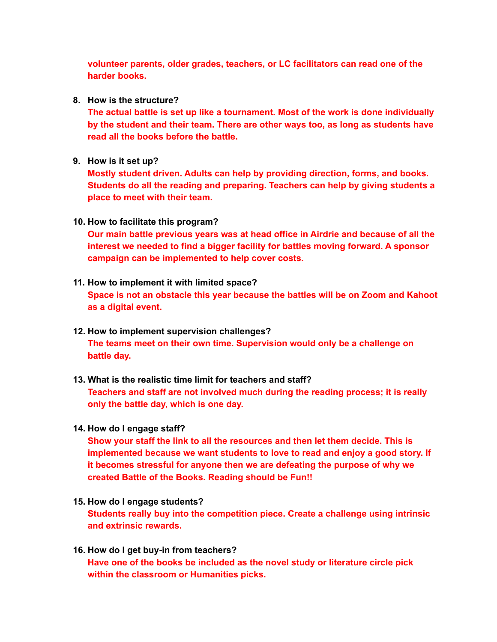**volunteer parents, older grades, teachers, or LC facilitators can read one of the harder books.**

**8. How is the structure?**

**The actual battle is set up like a tournament. Most of the work is done individually by the student and their team. There are other ways too, as long as students have read all the books before the battle.**

**9. How is it set up?**

**Mostly student driven. Adults can help by providing direction, forms, and books. Students do all the reading and preparing. Teachers can help by giving students a place to meet with their team.**

**10. How to facilitate this program?**

**Our main battle previous years was at head office in Airdrie and because of all the interest we needed to find a bigger facility for battles moving forward. A sponsor campaign can be implemented to help cover costs.**

- **11. How to implement it with limited space? Space is not an obstacle this year because the battles will be on Zoom and Kahoot as a digital event.**
- **12. How to implement supervision challenges? The teams meet on their own time. Supervision would only be a challenge on battle day.**
- **13. What is the realistic time limit for teachers and staff?**

**Teachers and staff are not involved much during the reading process; it is really only the battle day, which is one day.**

**14. How do I engage staff?**

**Show your staff the link to all the resources and then let them decide. This is implemented because we want students to love to read and enjoy a good story. If it becomes stressful for anyone then we are defeating the purpose of why we created Battle of the Books. Reading should be Fun!!**

- **15. How do I engage students? Students really buy into the competition piece. Create a challenge using intrinsic and extrinsic rewards.**
- **16. How do I get buy-in from teachers? Have one of the books be included as the novel study or literature circle pick within the classroom or Humanities picks.**